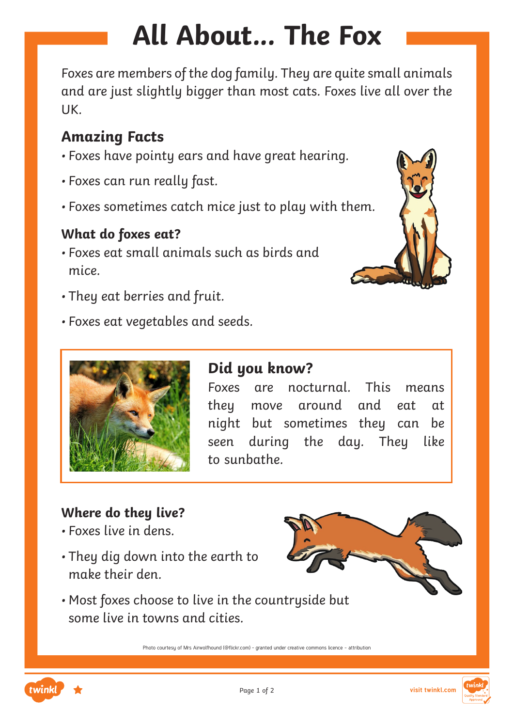# **All About... The Fox**

Foxes are members of the dog family. They are quite small animals and are just slightly bigger than most cats. Foxes live all over the UK.

#### **Amazing Facts**

- Foxes have pointy ears and have great hearing.
- Foxes can run really fast.
- Foxes sometimes catch mice just to play with them.

#### **What do foxes eat?**

- Foxes eat small animals such as birds and mice.
- They eat berries and fruit.
- Foxes eat vegetables and seeds.





#### **Did you know?**

Foxes are nocturnal. This means they move around and eat at night but sometimes they can be seen during the day. They like to sunbathe.

#### **Where do they live?**

- Foxes live in dens.
- They dig down into the earth to make their den.



• Most foxes choose to live in the countryside but some live in towns and cities.

Photo courtesy of Mrs Airwolfhound (@flickr.com) - granted under creative commons licence - attribution



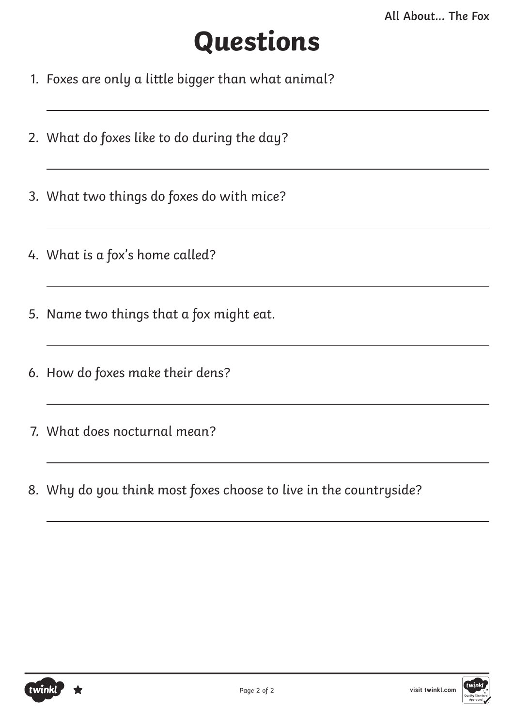## **Questions**

- 1. Foxes are only a little bigger than what animal?
- 2. What do foxes like to do during the day?
- 3. What two things do foxes do with mice?
- 4. What is a fox's home called?
- 5. Name two things that a fox might eat.
- 6. How do foxes make their dens?
- 7. What does nocturnal mean?
- 8. Why do you think most foxes choose to live in the countryside?



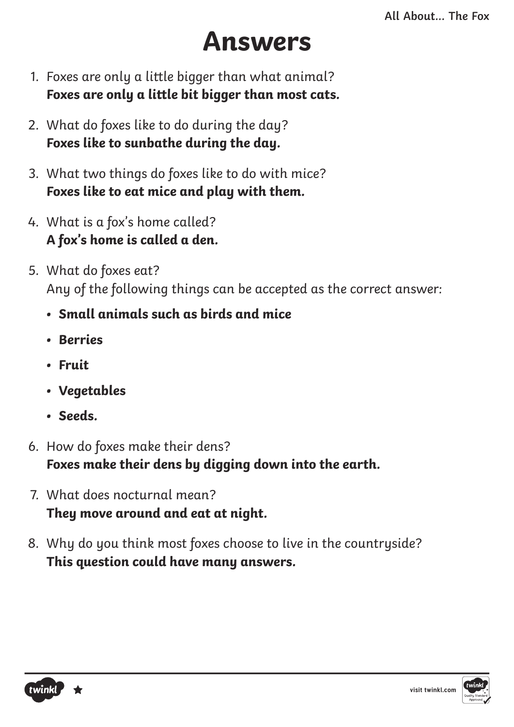### **Answers**

- 1. Foxes are only a little bigger than what animal? **Foxes are only a little bit bigger than most cats.**
- 2. What do foxes like to do during the day? **Foxes like to sunbathe during the day.**
- 3. What two things do foxes like to do with mice? **Foxes like to eat mice and play with them.**
- 4. What is a fox's home called? **A fox's home is called a den.**
- 5. What do foxes eat? Any of the following things can be accepted as the correct answer:
	- **• Small animals such as birds and mice**
	- **• Berries**
	- **• Fruit**
	- **• Vegetables**
	- **• Seeds.**
- 6. How do foxes make their dens? **Foxes make their dens by digging down into the earth.**
- 7. What does nocturnal mean? **They move around and eat at night.**
- 8. Why do you think most foxes choose to live in the countryside? **This question could have many answers.**

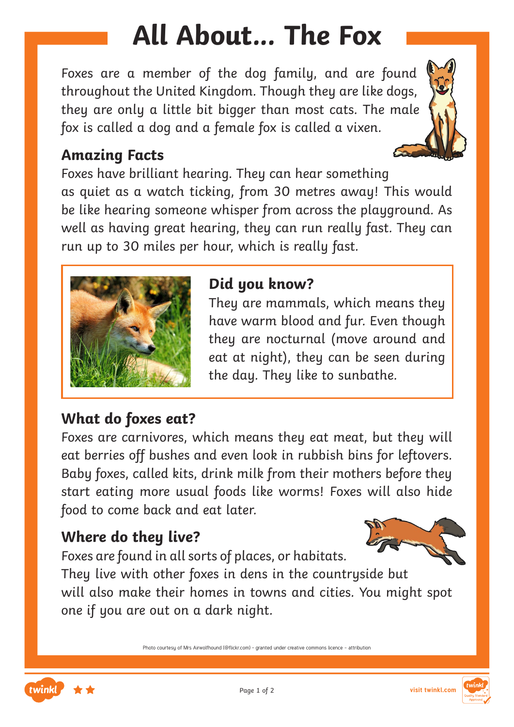# **All About... The Fox**

Foxes are a member of the dog family, and are found throughout the United Kingdom. Though they are like dogs, they are only a little bit bigger than most cats. The male fox is called a dog and a female fox is called a vixen.

#### **Amazing Facts**

Foxes have brilliant hearing. They can hear something as quiet as a watch ticking, from 30 metres away! This would be like hearing someone whisper from across the playground. As well as having great hearing, they can run really fast. They can run up to 30 miles per hour, which is really fast.



#### **Did you know?**

They are mammals, which means they have warm blood and fur. Even though they are nocturnal (move around and eat at night), they can be seen during the day. They like to sunbathe.

#### **What do foxes eat?**

Foxes are carnivores, which means they eat meat, but they will eat berries off bushes and even look in rubbish bins for leftovers. Baby foxes, called kits, drink milk from their mothers before they start eating more usual foods like worms! Foxes will also hide food to come back and eat later.

#### **Where do they live?**

Foxes are found in all sorts of places, or habitats.



They live with other foxes in dens in the countryside but will also make their homes in towns and cities. You might spot one if you are out on a dark night.

Photo courtesy of Mrs Airwolfhound (@flickr.com) - granted under creative commons licence - attribution



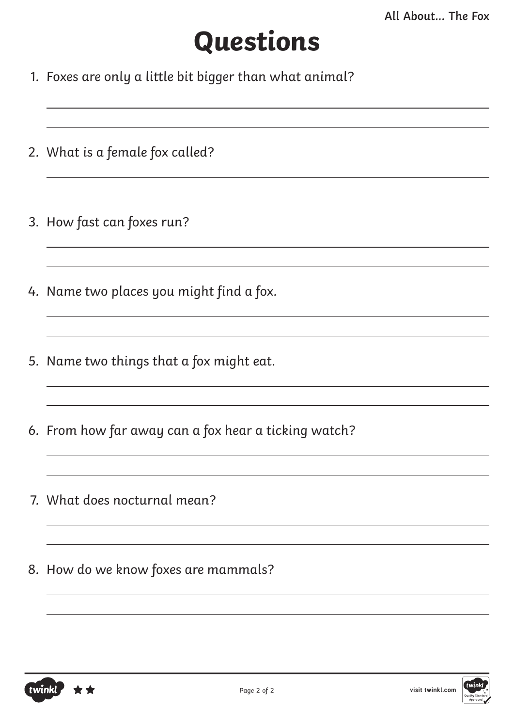## **Questions**

- 1. Foxes are only a little bit bigger than what animal?
- 2. What is a female fox called?
- 3. How fast can foxes run?
- 4. Name two places you might find a fox.
- 5. Name two things that a fox might eat.
- 6. From how far away can a fox hear a ticking watch?
- 7. What does nocturnal mean?
- 8. How do we know foxes are mammals?



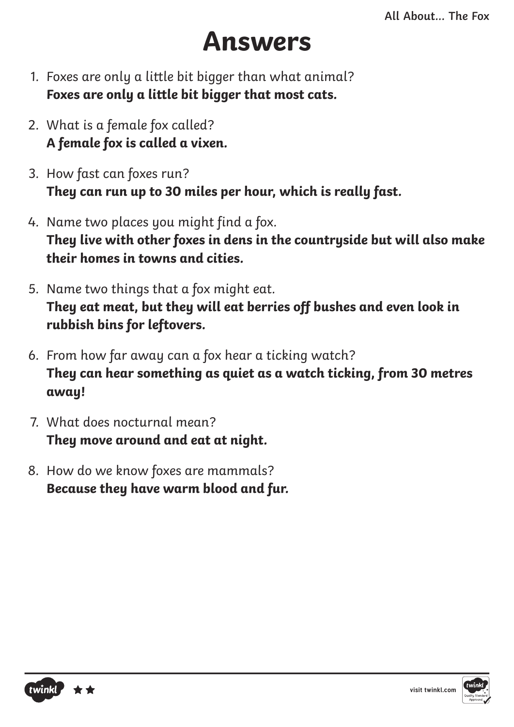### **Answers**

- 1. Foxes are only a little bit bigger than what animal? **Foxes are only a little bit bigger that most cats.**
- 2. What is a female fox called? **A female fox is called a vixen.**
- 3. How fast can foxes run? **They can run up to 30 miles per hour, which is really fast.**
- 4. Name two places you might find a fox. **They live with other foxes in dens in the countryside but will also make their homes in towns and cities.**
- 5. Name two things that a fox might eat. **They eat meat, but they will eat berries off bushes and even look in rubbish bins for leftovers.**
- 6. From how far away can a fox hear a ticking watch? **They can hear something as quiet as a watch ticking, from 30 metres away!**
- 7. What does nocturnal mean? **They move around and eat at night.**
- 8. How do we know foxes are mammals? **Because they have warm blood and fur.**



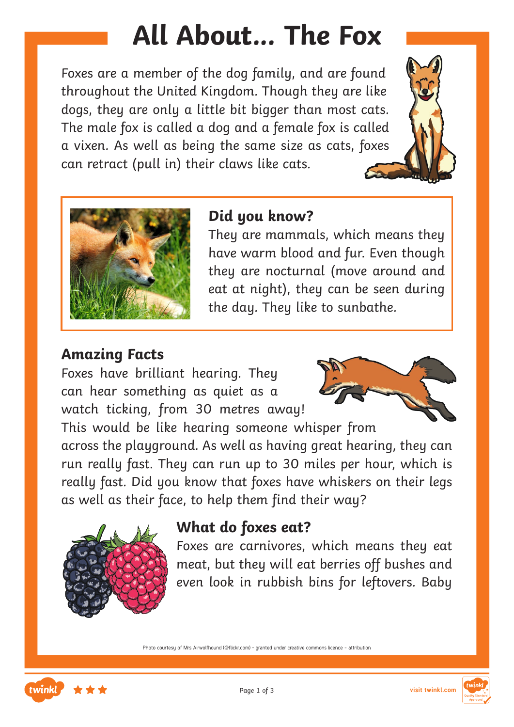## **All About... The Fox**

Foxes are a member of the dog family, and are found throughout the United Kingdom. Though they are like dogs, they are only a little bit bigger than most cats. The male fox is called a dog and a female fox is called a vixen. As well as being the same size as cats, foxes can retract (pull in) their claws like cats.





#### **Did you know?**

They are mammals, which means they have warm blood and fur. Even though they are nocturnal (move around and eat at night), they can be seen during the day. They like to sunbathe.

#### **Amazing Facts**

Foxes have brilliant hearing. They can hear something as quiet as a watch ticking, from 30 metres away!



This would be like hearing someone whisper from across the playground. As well as having great hearing, they can run really fast. They can run up to 30 miles per hour, which is really fast. Did you know that foxes have whiskers on their legs as well as their face, to help them find their way?



#### **What do foxes eat?**

Foxes are carnivores, which means they eat meat, but they will eat berries off bushes and even look in rubbish bins for leftovers. Baby

Photo courtesy of Mrs Airwolfhound (@flickr.com) - granted under creative commons licence - attribution



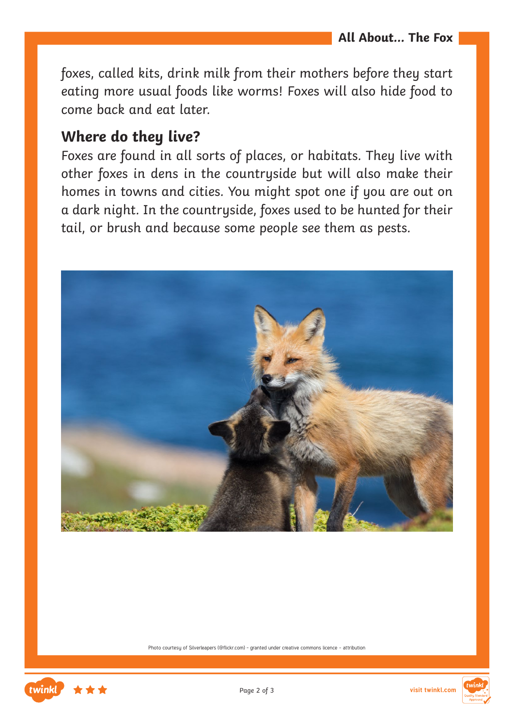foxes, called kits, drink milk from their mothers before they start eating more usual foods like worms! Foxes will also hide food to come back and eat later.

#### **Where do they live?**

Foxes are found in all sorts of places, or habitats. They live with other foxes in dens in the countryside but will also make their homes in towns and cities. You might spot one if you are out on a dark night. In the countryside, foxes used to be hunted for their tail, or brush and because some people see them as pests.



Photo courtesu of Silverleapers (@flickr.com) - granted under creative commons licence - attribution



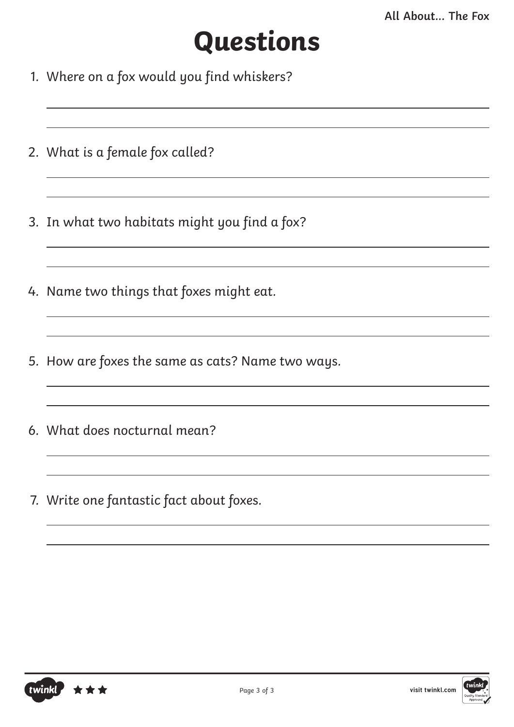## **Questions**

- 1. Where on a fox would you find whiskers?
- 2. What is a female fox called?
- 3. In what two habitats might you find a fox?
- 4. Name two things that foxes might eat.
- 5. How are foxes the same as cats? Name two ways.

<u> 1989 - Johann Barbara, martxa alemaniar arg</u>

- 6. What does nocturnal mean?
- 7. Write one fantastic fact about foxes.